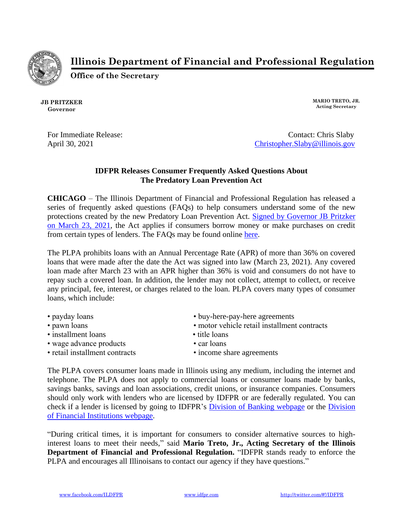

**Illinois Department of Financial and Professional Regulation**

**Office of the Secretary**

**JB PRITZKER Governor**

**MARIO TRETO, JR. Acting Secretary**

For Immediate Release: Contact: Chris Slaby April 30, 2021 [Christopher.Slaby@illinois.gov](mailto:Christopher.Slaby@illinois.gov)

## **IDFPR Releases Consumer Frequently Asked Questions About The Predatory Loan Prevention Act**

**CHICAGO** – The Illinois Department of Financial and Professional Regulation has released a series of frequently asked questions (FAQs) to help consumers understand some of the new protections created by the new Predatory Loan Prevention Act. [Signed by Governor JB Pritzker](https://www2.illinois.gov/Pages/news-item.aspx?ReleaseID=22987)  [on March 23, 2021,](https://www2.illinois.gov/Pages/news-item.aspx?ReleaseID=22987) the Act applies if consumers borrow money or make purchases on credit from certain types of lenders. The FAQs may be found online [here.](https://www.idfpr.com/FAQ/BRE/IDFPR%20Predatory%20Loan%20Prevention%20Act%20FAQ%2004282021.pdf)

The PLPA prohibits loans with an Annual Percentage Rate (APR) of more than 36% on covered loans that were made after the date the Act was signed into law (March 23, 2021). Any covered loan made after March 23 with an APR higher than 36% is void and consumers do not have to repay such a covered loan. In addition, the lender may not collect, attempt to collect, or receive any principal, fee, interest, or charges related to the loan. PLPA covers many types of consumer loans, which include:

| • payday loans                 | • buy-here-pay-here agreements               |
|--------------------------------|----------------------------------------------|
| • pawn loans                   | • motor vehicle retail installment contracts |
| • installment loans            | • title loans                                |
| • wage advance products        | • car loans                                  |
| • retail installment contracts | • income share agreements                    |

The PLPA covers consumer loans made in Illinois using any medium, including the internet and telephone. The PLPA does not apply to commercial loans or consumer loans made by banks, savings banks, savings and loan associations, credit unions, or insurance companies. Consumers should only work with lenders who are licensed by IDFPR or are federally regulated. You can check if a lender is licensed by going to IDFPR's Division [of Banking webpage](https://idfpr.com/Banking.asp) or the [Division](https://idfpr.com/DFI.asp)  [of Financial Institutions](https://idfpr.com/DFI.asp) webpage.

"During critical times, it is important for consumers to consider alternative sources to highinterest loans to meet their needs," said **Mario Treto, Jr., Acting Secretary of the Illinois Department of Financial and Professional Regulation.** "IDFPR stands ready to enforce the PLPA and encourages all Illinoisans to contact our agency if they have questions."